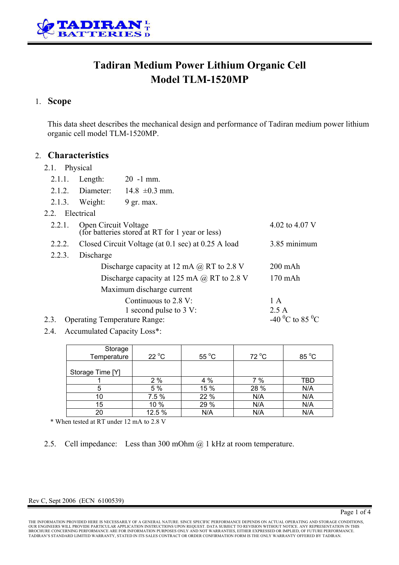

# **Tadiran Medium Power Lithium Organic Cell Model TLM-1520MP**

## 1. **Scope**

This data sheet describes the mechanical design and performance of Tadiran medium power lithium organic cell model TLM-1520MP.

### 2. **Characteristics**

#### 2.1 Physical

|                                             | $2.1.1$ . Length:                                                                         | $20 - 1$ mm.                                              |             |  |  |  |  |
|---------------------------------------------|-------------------------------------------------------------------------------------------|-----------------------------------------------------------|-------------|--|--|--|--|
|                                             | 2.1.2. Diameter:                                                                          | $14.8 \pm 0.3$ mm.                                        |             |  |  |  |  |
|                                             | $2.1.3$ . Weight:                                                                         | $9$ gr. max.                                              |             |  |  |  |  |
| 2.2. Electrical                             |                                                                                           |                                                           |             |  |  |  |  |
| 2.2.1.                                      | Open Circuit Voltage<br>4.02 to 4.07 V<br>(for batteries stored at RT for 1 year or less) |                                                           |             |  |  |  |  |
| 2.2.2.                                      | Closed Circuit Voltage (at 0.1 sec) at 0.25 A load                                        | 3.85 minimum                                              |             |  |  |  |  |
| 2.2.3.                                      |                                                                                           |                                                           |             |  |  |  |  |
|                                             | $200$ mAh                                                                                 |                                                           |             |  |  |  |  |
|                                             | $170$ mAh                                                                                 |                                                           |             |  |  |  |  |
| Maximum discharge current                   |                                                                                           |                                                           |             |  |  |  |  |
|                                             |                                                                                           | Continuous to $2.8 \text{ V}$ :<br>1 second pulse to 3 V: | 1 A<br>2.5A |  |  |  |  |
| 2.3.<br><b>Operating Temperature Range:</b> | -40 <sup>0</sup> C to 85 <sup>0</sup> C                                                   |                                                           |             |  |  |  |  |

2.4. Accumulated Capacity Loss\*:

| Storage<br>Temperature | $22^{\circ}$ C | $55^{\circ}$ C | $72^{\circ}$ C | 85 °C |
|------------------------|----------------|----------------|----------------|-------|
| Storage Time [Y]       |                |                |                |       |
|                        | 2%             | 4 %            | 7 %            | TBD   |
| 5                      | 5 %            | 15 %           | 28 %           | N/A   |
| 10                     | 7.5 %          | 22 %           | N/A            | N/A   |
| 15                     | 10 %           | 29 %           | N/A            | N/A   |
| 20                     | 12.5 %         | N/A            | N/A            | N/A   |

\* When tested at RT under 12 mA to 2.8 V

2.5. Cell impedance: Less than 300 mOhm @ 1 kHz at room temperature.

#### Rev C, Sept 2006 (ECN 6100539)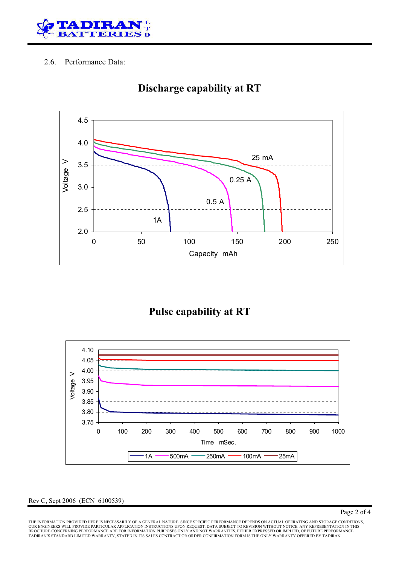

### 2.6. Performance Data:



# **Discharge capability at RT**

## **Pulse capability at RT**



Rev C, Sept 2006 (ECN 6100539)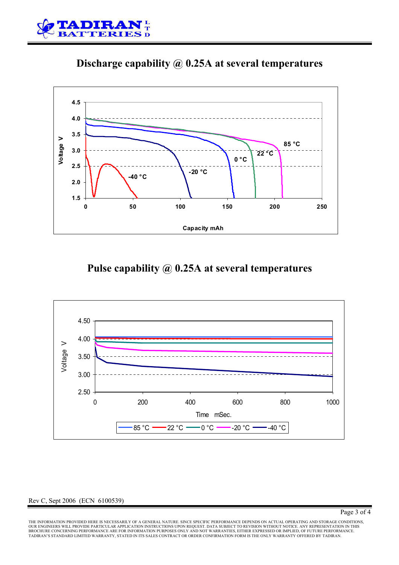





# **Pulse capability @ 0.25A at several temperatures**



#### Rev C, Sept 2006 (ECN 6100539)